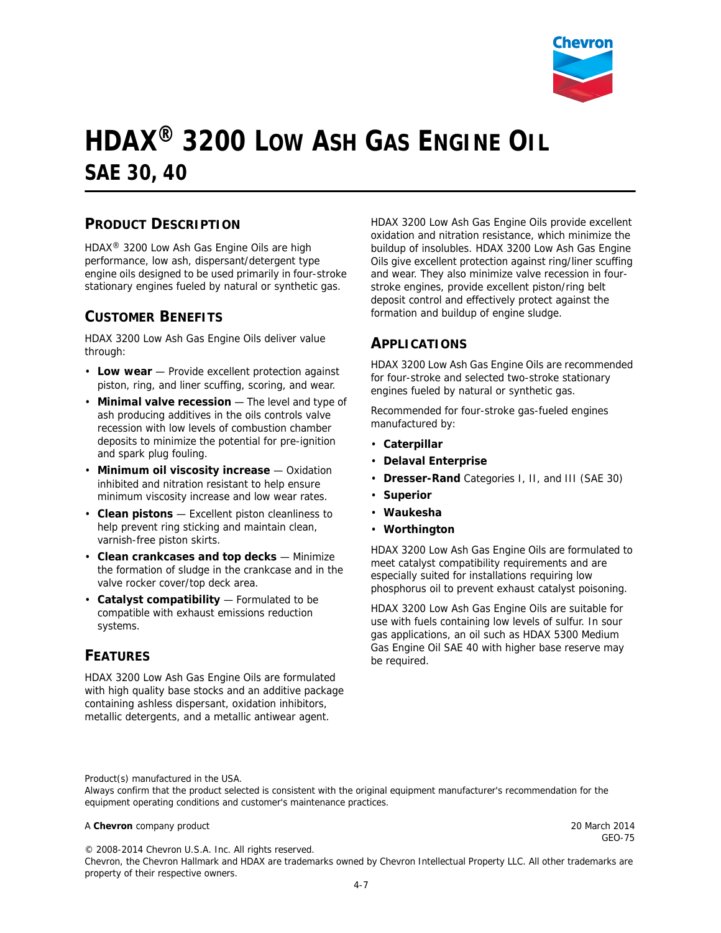

# **HDAX® 3200 LOW ASH GAS ENGINE OIL SAE 30, 40**

#### **PRODUCT DESCRIPTION**

HDAX® 3200 Low Ash Gas Engine Oils are high performance, low ash, dispersant/detergent type engine oils designed to be used primarily in four-stroke stationary engines fueled by natural or synthetic gas.

### **CUSTOMER BENEFITS**

HDAX 3200 Low Ash Gas Engine Oils deliver value through:

- **Low wear** Provide excellent protection against piston, ring, and liner scuffing, scoring, and wear.
- **Minimal valve recession** The level and type of ash producing additives in the oils controls valve recession with low levels of combustion chamber deposits to minimize the potential for pre-ignition and spark plug fouling.
- **Minimum oil viscosity increase** Oxidation inhibited and nitration resistant to help ensure minimum viscosity increase and low wear rates.
- **Clean pistons** Excellent piston cleanliness to help prevent ring sticking and maintain clean, varnish-free piston skirts.
- **Clean crankcases and top decks** Minimize the formation of sludge in the crankcase and in the valve rocker cover/top deck area.
- **Catalyst compatibility** Formulated to be compatible with exhaust emissions reduction systems.

#### **FEATURES**

HDAX 3200 Low Ash Gas Engine Oils are formulated with high quality base stocks and an additive package containing ashless dispersant, oxidation inhibitors, metallic detergents, and a metallic antiwear agent.

HDAX 3200 Low Ash Gas Engine Oils provide excellent oxidation and nitration resistance, which minimize the buildup of insolubles. HDAX 3200 Low Ash Gas Engine Oils give excellent protection against ring/liner scuffing and wear. They also minimize valve recession in fourstroke engines, provide excellent piston/ring belt deposit control and effectively protect against the formation and buildup of engine sludge.

#### **APPLICATIONS**

HDAX 3200 Low Ash Gas Engine Oils are recommended for four-stroke and selected two-stroke stationary engines fueled by natural or synthetic gas.

Recommended for four-stroke gas-fueled engines manufactured by:

- **Caterpillar**
- **Delaval Enterprise**
- **Dresser-Rand** Categories I, II, and III (SAE 30)
- **Superior**
- **Waukesha**
- **Worthington**

HDAX 3200 Low Ash Gas Engine Oils are formulated to meet catalyst compatibility requirements and are especially suited for installations requiring low phosphorus oil to prevent exhaust catalyst poisoning.

HDAX 3200 Low Ash Gas Engine Oils are suitable for use with fuels containing low levels of sulfur. In sour gas applications, an oil such as HDAX 5300 Medium Gas Engine Oil SAE 40 with higher base reserve may be required.

Product(s) manufactured in the USA.

Always confirm that the product selected is consistent with the original equipment manufacturer's recommendation for the equipment operating conditions and customer's maintenance practices.

#### A **Chevron** company product 20 March 2014

© 2008-2014 Chevron U.S.A. Inc. All rights reserved.

GEO-75

Chevron, the Chevron Hallmark and HDAX are trademarks owned by Chevron Intellectual Property LLC. All other trademarks are property of their respective owners.